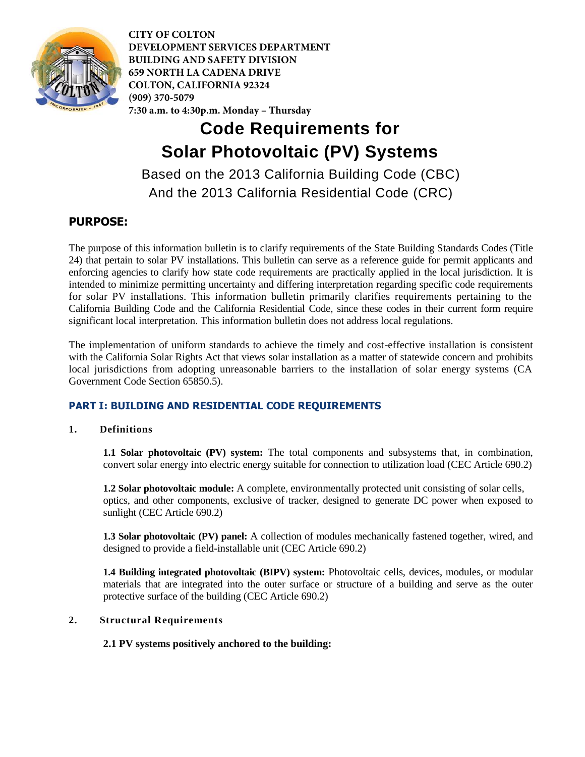

# **Code Requirements for Solar Photovoltaic (PV) Systems**

Based on the 2013 California Building Code (CBC) And the 2013 California Residential Code (CRC)

# **PURPOSE:**

The purpose of this information bulletin is to clarify requirements of the State Building Standards Codes (Title 24) that pertain to solar PV installations. This bulletin can serve as a reference guide for permit applicants and enforcing agencies to clarify how state code requirements are practically applied in the local jurisdiction. It is intended to minimize permitting uncertainty and differing interpretation regarding specific code requirements for solar PV installations. This information bulletin primarily clarifies requirements pertaining to the California Building Code and the California Residential Code, since these codes in their current form require significant local interpretation. This information bulletin does not address local regulations.

The implementation of uniform standards to achieve the timely and cost-effective installation is consistent with the California Solar Rights Act that views solar installation as a matter of statewide concern and prohibits local jurisdictions from adopting unreasonable barriers to the installation of solar energy systems (CA Government Code Section 65850.5).

# **PART I: BUILDING AND RESIDENTIAL CODE REQUIREMENTS**

# **1. Definitions**

**1.1 Solar photovoltaic (PV) system:** The total components and subsystems that, in combination, convert solar energy into electric energy suitable for connection to utilization load (CEC Article 690.2)

**1.2 Solar photovoltaic module:** A complete, environmentally protected unit consisting of solar cells, optics, and other components, exclusive of tracker, designed to generate DC power when exposed to sunlight (CEC Article 690.2)

**1.3 Solar photovoltaic (PV) panel:** A collection of modules mechanically fastened together, wired, and designed to provide a field-installable unit (CEC Article 690.2)

**1.4 Building integrated photovoltaic (BIPV) system:** Photovoltaic cells, devices, modules, or modular materials that are integrated into the outer surface or structure of a building and serve as the outer protective surface of the building (CEC Article 690.2)

# **2. Structural Requirements**

# **2.1 PV systems positively anchored to the building:**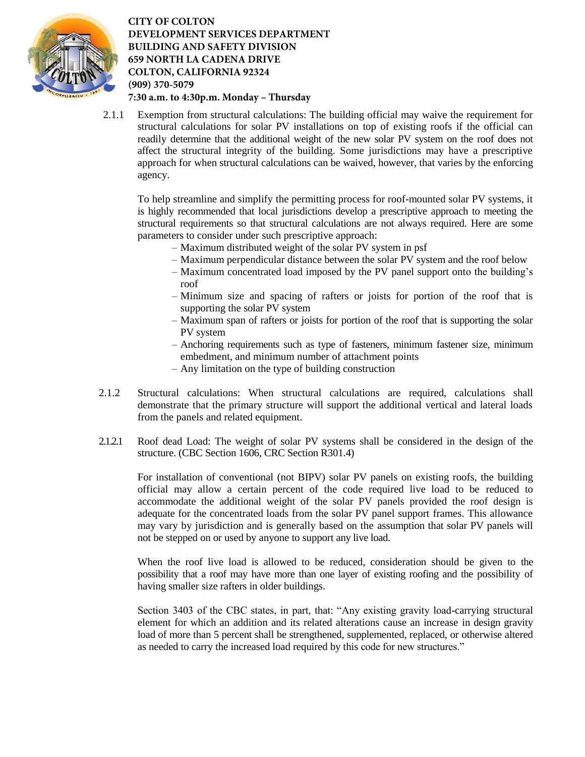

2.1.1 Exemption from structural calculations: The building official may waive the requirement for structural calculations for solar PV installations on top of existing roofs if the official can readily determine that the additional weight of the new solar PV system on the roof does not affect the structural integrity of the building. Some jurisdictions may have a prescriptive approach for when structural calculations can be waived, however, that varies by the enforcing agency.

To help streamline and simplify the permitting process for roof-mounted solar PV systems, it is highly recommended that local jurisdictions develop a prescriptive approach to meeting the structural requirements so that structural calculations are not always required. Here are some parameters to consider under such prescriptive approach:

- Maximum distributed weight of the solar PV system in psf
- Maximum perpendicular distance between the solar PV system and the roof below
- Maximum concentrated load imposed by the PV panel support onto the building's roof
- Minimum size and spacing of rafters or joists for portion of the roof that is supporting the solar PV system
- Maximum span of rafters or joists for portion of the roof that is supporting the solar PV system
- Anchoring requirements such as type of fasteners, minimum fastener size, minimum embedment, and minimum number of attachment points
- Any limitation on the type of building construction
- 2.1.2 Structural calculations: When structural calculations are required, calculations shall demonstrate that the primary structure will support the additional vertical and lateral loads from the panels and related equipment.
- 2.1.2.1 Roof dead Load: The weight of solar PV systems shall be considered in the design of the structure. (CBC Section 1606, CRC Section R301.4)

For installation of conventional (not BIPV) solar PV panels on existing roofs, the building official may allow a certain percent of the code required live load to be reduced to accommodate the additional weight of the solar PV panels provided the roof design is adequate for the concentrated loads from the solar PV panel support frames. This allowance may vary by jurisdiction and is generally based on the assumption that solar PV panels will not be stepped on or used by anyone to support any live load.

When the roof live load is allowed to be reduced, consideration should be given to the possibility that a roof may have more than one layer of existing roofing and the possibility of having smaller size rafters in older buildings.

Section 3403 of the CBC states, in part, that: "Any existing gravity load-carrying structural element for which an addition and its related alterations cause an increase in design gravity load of more than 5 percent shall be strengthened, supplemented, replaced, or otherwise altered as needed to carry the increased load required by this code for new structures."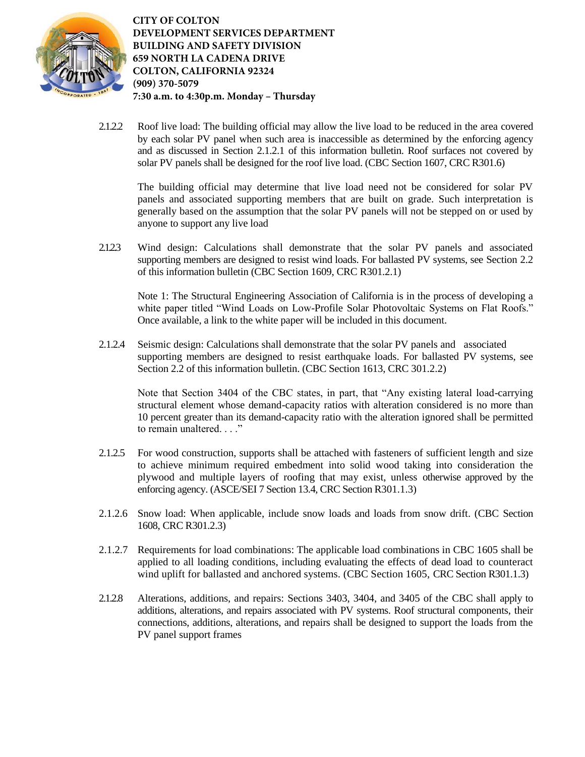

2.1.2.2 Roof live load: The building official may allow the live load to be reduced in the area covered by each solar PV panel when such area is inaccessible as determined by the enforcing agency and as discussed in Section 2.1.2.1 of this information bulletin. Roof surfaces not covered by solar PV panels shall be designed for the roof live load. (CBC Section 1607, CRC R301.6)

The building official may determine that live load need not be considered for solar PV panels and associated supporting members that are built on grade. Such interpretation is generally based on the assumption that the solar PV panels will not be stepped on or used by anyone to support any live load

2.1.2.3 Wind design: Calculations shall demonstrate that the solar PV panels and associated supporting members are designed to resist wind loads. For ballasted PV systems, see Section 2.2 of this information bulletin (CBC Section 1609, CRC R301.2.1)

Note 1: The Structural Engineering Association of California is in the process of developing a white paper titled "Wind Loads on Low-Profile Solar Photovoltaic Systems on Flat Roofs." Once available, a link to the white paper will be included in this document.

2.1.2.4 Seismic design: Calculations shall demonstrate that the solar PV panels and associated supporting members are designed to resist earthquake loads. For ballasted PV systems, see Section 2.2 of this information bulletin. (CBC Section 1613, CRC 301.2.2)

Note that Section 3404 of the CBC states, in part, that "Any existing lateral load-carrying structural element whose demand-capacity ratios with alteration considered is no more than 10 percent greater than its demand-capacity ratio with the alteration ignored shall be permitted to remain unaltered. . . ."

- 2.1.2.5 For wood construction, supports shall be attached with fasteners of sufficient length and size to achieve minimum required embedment into solid wood taking into consideration the plywood and multiple layers of roofing that may exist, unless otherwise approved by the enforcing agency. (ASCE/SEI 7 Section 13.4, CRC Section R301.1.3)
- 2.1.2.6 Snow load: When applicable, include snow loads and loads from snow drift. (CBC Section 1608, CRC R301.2.3)
- 2.1.2.7 Requirements for load combinations: The applicable load combinations in CBC 1605 shall be applied to all loading conditions, including evaluating the effects of dead load to counteract wind uplift for ballasted and anchored systems. (CBC Section 1605, CRC Section R301.1.3)
- 2.1.2.8 Alterations, additions, and repairs: Sections 3403, 3404, and 3405 of the CBC shall apply to additions, alterations, and repairs associated with PV systems. Roof structural components, their connections, additions, alterations, and repairs shall be designed to support the loads from the PV panel support frames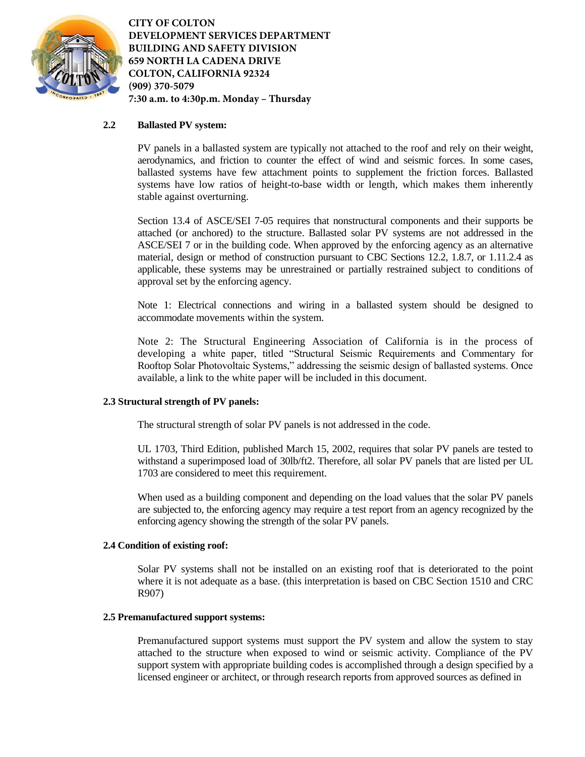

# **2.2 Ballasted PV system:**

PV panels in a ballasted system are typically not attached to the roof and rely on their weight, aerodynamics, and friction to counter the effect of wind and seismic forces. In some cases, ballasted systems have few attachment points to supplement the friction forces. Ballasted systems have low ratios of height-to-base width or length, which makes them inherently stable against overturning.

Section 13.4 of ASCE/SEI 7-05 requires that nonstructural components and their supports be attached (or anchored) to the structure. Ballasted solar PV systems are not addressed in the ASCE/SEI 7 or in the building code. When approved by the enforcing agency as an alternative material, design or method of construction pursuant to CBC Sections 12.2, 1.8.7, or 1.11.2.4 as applicable, these systems may be unrestrained or partially restrained subject to conditions of approval set by the enforcing agency.

Note 1: Electrical connections and wiring in a ballasted system should be designed to accommodate movements within the system.

Note 2: The Structural Engineering Association of California is in the process of developing a white paper, titled "Structural Seismic Requirements and Commentary for Rooftop Solar Photovoltaic Systems," addressing the seismic design of ballasted systems. Once available, a link to the white paper will be included in this document.

# **2.3 Structural strength of PV panels:**

The structural strength of solar PV panels is not addressed in the code.

UL 1703, Third Edition, published March 15, 2002, requires that solar PV panels are tested to withstand a superimposed load of 30lb/ft2. Therefore, all solar PV panels that are listed per UL 1703 are considered to meet this requirement.

When used as a building component and depending on the load values that the solar PV panels are subjected to, the enforcing agency may require a test report from an agency recognized by the enforcing agency showing the strength of the solar PV panels.

#### **2.4 Condition of existing roof:**

Solar PV systems shall not be installed on an existing roof that is deteriorated to the point where it is not adequate as a base. (this interpretation is based on CBC Section 1510 and CRC R907)

#### **2.5 Premanufactured support systems:**

Premanufactured support systems must support the PV system and allow the system to stay attached to the structure when exposed to wind or seismic activity. Compliance of the PV support system with appropriate building codes is accomplished through a design specified by a licensed engineer or architect, or through research reports from approved sources as defined in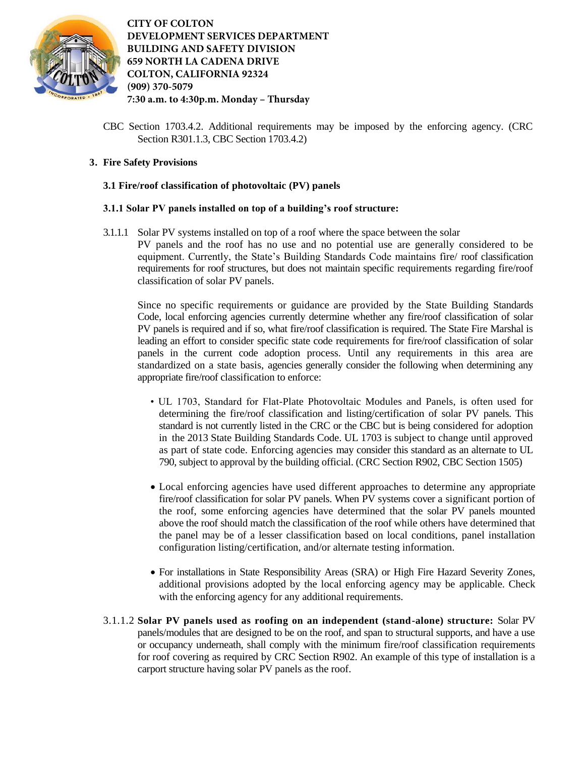

CBC Section 1703.4.2. Additional requirements may be imposed by the enforcing agency. (CRC Section R301.1.3, CBC Section 1703.4.2)

# **3. Fire Safety Provisions**

## **3.1 Fire/roof classification of photovoltaic (PV) panels**

## **3.1.1 Solar PV panels installed on top of a building's roof structure:**

3.1.1.1 Solar PV systems installed on top of a roof where the space between the solar PV panels and the roof has no use and no potential use are generally considered to be equipment. Currently, the State's Building Standards Code maintains fire/ roof classification requirements for roof structures, but does not maintain specific requirements regarding fire/roof classification of solar PV panels.

Since no specific requirements or guidance are provided by the State Building Standards Code, local enforcing agencies currently determine whether any fire/roof classification of solar PV panels is required and if so, what fire/roof classification is required. The State Fire Marshal is leading an effort to consider specific state code requirements for fire/roof classification of solar panels in the current code adoption process. Until any requirements in this area are standardized on a state basis, agencies generally consider the following when determining any appropriate fire/roof classification to enforce:

- UL 1703, Standard for Flat-Plate Photovoltaic Modules and Panels, is often used for determining the fire/roof classification and listing/certification of solar PV panels. This standard is not currently listed in the CRC or the CBC but is being considered for adoption in the 2013 State Building Standards Code. UL 1703 is subject to change until approved as part of state code. Enforcing agencies may consider this standard as an alternate to UL 790, subject to approval by the building official. (CRC Section R902, CBC Section 1505)
- Local enforcing agencies have used different approaches to determine any appropriate fire/roof classification for solar PV panels. When PV systems cover a significant portion of the roof, some enforcing agencies have determined that the solar PV panels mounted above the roof should match the classification of the roof while others have determined that the panel may be of a lesser classification based on local conditions, panel installation configuration listing/certification, and/or alternate testing information.
- For installations in State Responsibility Areas (SRA) or High Fire Hazard Severity Zones, additional provisions adopted by the local enforcing agency may be applicable. Check with the enforcing agency for any additional requirements.
- 3.1.1.2 **Solar PV panels used as roofing on an independent (stand-alone) structure:** Solar PV panels/modules that are designed to be on the roof, and span to structural supports, and have a use or occupancy underneath, shall comply with the minimum fire/roof classification requirements for roof covering as required by CRC Section R902. An example of this type of installation is a carport structure having solar PV panels as the roof.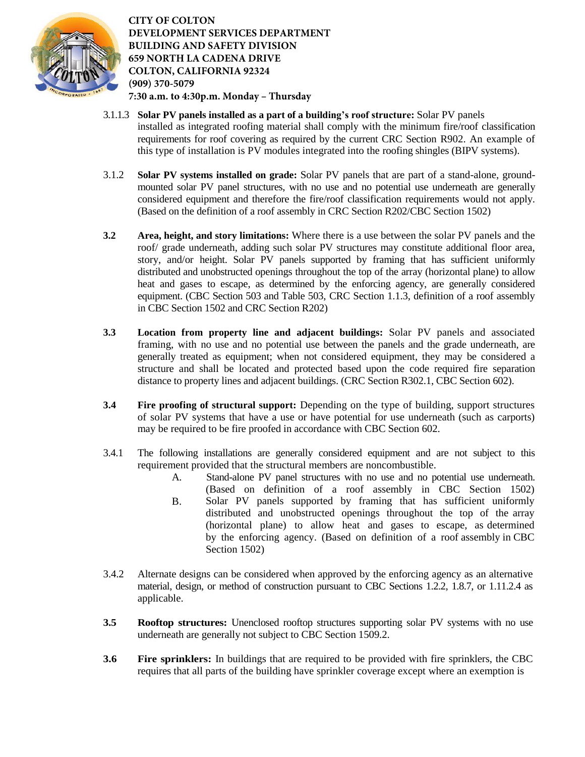

- 3.1.1.3 **Solar PV panels installed as a part of a building's roof structure:** Solar PV panels installed as integrated roofing material shall comply with the minimum fire/roof classification requirements for roof covering as required by the current CRC Section R902. An example of this type of installation is PV modules integrated into the roofing shingles (BIPV systems).
- 3.1.2 **Solar PV systems installed on grade:** Solar PV panels that are part of a stand-alone, groundmounted solar PV panel structures, with no use and no potential use underneath are generally considered equipment and therefore the fire/roof classification requirements would not apply. (Based on the definition of a roof assembly in CRC Section R202/CBC Section 1502)
- **3.2 Area, height, and story limitations:** Where there is a use between the solar PV panels and the roof/ grade underneath, adding such solar PV structures may constitute additional floor area, story, and/or height. Solar PV panels supported by framing that has sufficient uniformly distributed and unobstructed openings throughout the top of the array (horizontal plane) to allow heat and gases to escape, as determined by the enforcing agency, are generally considered equipment. (CBC Section 503 and Table 503, CRC Section 1.1.3, definition of a roof assembly in CBC Section 1502 and CRC Section R202)
- **3.3 Location from property line and adjacent buildings:** Solar PV panels and associated framing, with no use and no potential use between the panels and the grade underneath, are generally treated as equipment; when not considered equipment, they may be considered a structure and shall be located and protected based upon the code required fire separation distance to property lines and adjacent buildings. (CRC Section R302.1, CBC Section 602).
- **3.4 Fire proofing of structural support:** Depending on the type of building, support structures of solar PV systems that have a use or have potential for use underneath (such as carports) may be required to be fire proofed in accordance with CBC Section 602.
- 3.4.1 The following installations are generally considered equipment and are not subject to this requirement provided that the structural members are noncombustible.
	- A. Stand-alone PV panel structures with no use and no potential use underneath. B. (Based on definition of a roof assembly in CBC Section 1502) Solar PV panels supported by framing that has sufficient uniformly distributed and unobstructed openings throughout the top of the array (horizontal plane) to allow heat and gases to escape, as determined by the enforcing agency. (Based on definition of a roof assembly in CBC Section 1502)
- 3.4.2 Alternate designs can be considered when approved by the enforcing agency as an alternative material, design, or method of construction pursuant to CBC Sections 1.2.2, 1.8.7, or 1.11.2.4 as applicable.
- **3.5 Rooftop structures:** Unenclosed rooftop structures supporting solar PV systems with no use underneath are generally not subject to CBC Section 1509.2.
- **3.6 Fire sprinklers:** In buildings that are required to be provided with fire sprinklers, the CBC requires that all parts of the building have sprinkler coverage except where an exemption is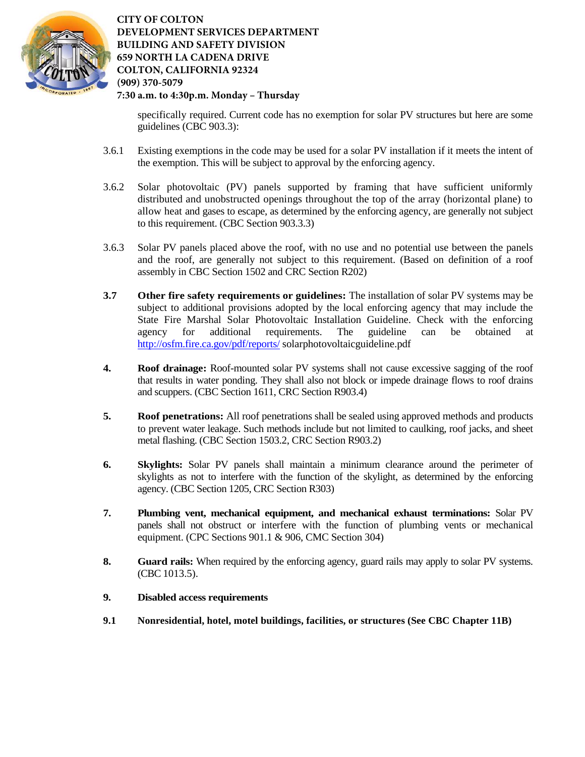

specifically required. Current code has no exemption for solar PV structures but here are some guidelines (CBC 903.3):

- 3.6.1 Existing exemptions in the code may be used for a solar PV installation if it meets the intent of the exemption. This will be subject to approval by the enforcing agency.
- 3.6.2 Solar photovoltaic (PV) panels supported by framing that have sufficient uniformly distributed and unobstructed openings throughout the top of the array (horizontal plane) to allow heat and gases to escape, as determined by the enforcing agency, are generally not subject to this requirement. (CBC Section 903.3.3)
- 3.6.3 Solar PV panels placed above the roof, with no use and no potential use between the panels and the roof, are generally not subject to this requirement. (Based on definition of a roof assembly in CBC Section 1502 and CRC Section R202)
- **3.7 Other fire safety requirements or guidelines:** The installation of solar PV systems may be subject to additional provisions adopted by the local enforcing agency that may include the State Fire Marshal Solar Photovoltaic Installation Guideline. Check with the enforcing agency for additional requirements. The guideline can be obtained at <http://osfm.fire.ca.gov/pdf/reports/>solarphotovoltaicguideline.pdf
- **4. Roof drainage:** Roof-mounted solar PV systems shall not cause excessive sagging of the roof that results in water ponding. They shall also not block or impede drainage flows to roof drains and scuppers. (CBC Section 1611, CRC Section R903.4)
- **5. Roof penetrations:** All roof penetrations shall be sealed using approved methods and products to prevent water leakage. Such methods include but not limited to caulking, roof jacks, and sheet metal flashing. (CBC Section 1503.2, CRC Section R903.2)
- **6. Skylights:** Solar PV panels shall maintain a minimum clearance around the perimeter of skylights as not to interfere with the function of the skylight, as determined by the enforcing agency. (CBC Section 1205, CRC Section R303)
- **7. Plumbing vent, mechanical equipment, and mechanical exhaust terminations:** Solar PV panels shall not obstruct or interfere with the function of plumbing vents or mechanical equipment. (CPC Sections 901.1 & 906, CMC Section 304)
- **8. Guard rails:** When required by the enforcing agency, guard rails may apply to solar PV systems. (CBC 1013.5).
- **9. Disabled access requirements**
- **9.1 Nonresidential, hotel, motel buildings, facilities, or structures (See CBC Chapter 11B)**